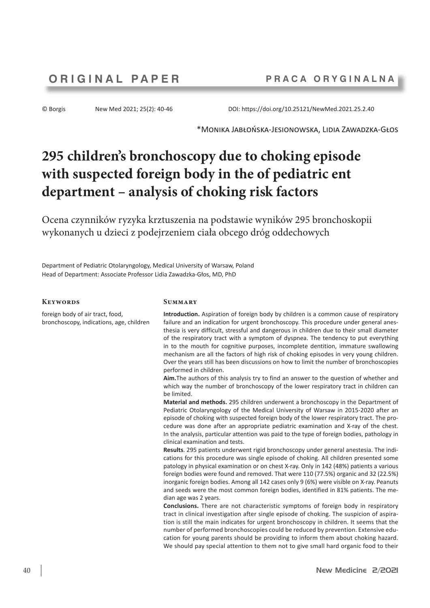© Borgis New Med 2021; 25(2): 40-46 DOI: https://doi.org/10.25121/NewMed.2021.25.2.40

\*Monika Jabłońska-Jesionowska, Lidia Zawadzka-Głos

# **295 children's bronchoscopy due to choking episode with suspected foreign body in the of pediatric ent department – analysis of choking risk factors**

Ocena czynników ryzyka krztuszenia na podstawie wyników 295 bronchoskopii wykonanych u dzieci z podejrzeniem ciała obcego dróg oddechowych

Department of Pediatric Otolaryngology, Medical University of Warsaw, Poland Head of Department: Associate Professor Lidia Zawadzka-Głos, MD, PhD

### **Keywords**

foreign body of air tract, food, bronchoscopy, indications, age, children

#### **Summary**

**Introduction.** Aspiration of foreign body by children is a common cause of respiratory failure and an indication for urgent bronchoscopy. This procedure under general anesthesia is very difficult, stressful and dangerous in children due to their small diameter of the respiratory tract with a symptom of dyspnea. The tendency to put everything in to the mouth for cognitive purposes, incomplete dentition, immature swallowing mechanism are all the factors of high risk of choking episodes in very young children. Over the years still has been discussions on how to limit the number of bronchoscopies performed in children.

**Aim.**The authors of this analysis try to find an answer to the question of whether and which way the number of bronchoscopy of the lower respiratory tract in children can be limited.

**Material and methods.** 295 children underwent a bronchoscopy in the Department of Pediatric Otolaryngology of the Medical University of Warsaw in 2015-2020 after an episode of choking with suspected foreign body of the lower respiratory tract. The procedure was done after an appropriate pediatric examination and X-ray of the chest. In the analysis, particular attention was paid to the type of foreign bodies, pathology in clinical examination and tests.

**Results**. 295 patients underwent rigid bronchoscopy under general anestesia. The indications for this procedure was single episode of choking. All children presented some patology in physical examination or on chest X-ray. Only in 142 (48%) patients a various foreign bodies were found and removed. That were 110 (77.5%) organic and 32 (22.5%) inorganic foreign bodies. Among all 142 cases only 9 (6%) were visible on X-ray. Peanuts and seeds were the most common foreign bodies, identified in 81% patients. The median age was 2 years.

**Conclusions.** There are not characteristic symptoms of foreign body in respiratory tract in clinical investigation after single episode of choking. The suspicion of aspiration is still the main indicates for urgent bronchoscopy in children. It seems that the number of performed bronchoscopies could be reduced by prevention. Extensive education for young parents should be providing to inform them about choking hazard. We should pay special attention to them not to give small hard organic food to their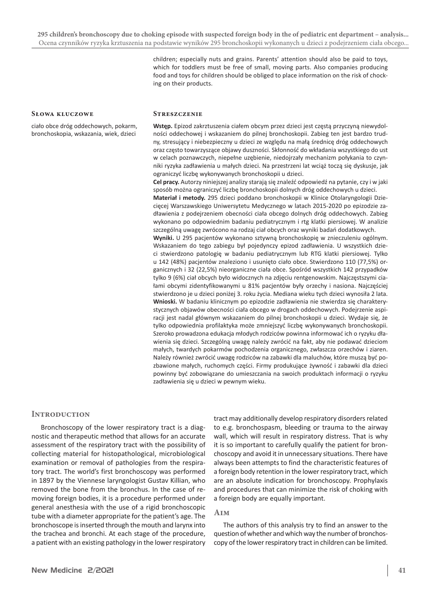children; especially nuts and grains. Parents' attention should also be paid to toys, which for toddlers must be free of small, moving parts. Also companies producing food and toys for children should be obliged to place information on the risk of chocking on their products.

#### **Słowa kluczowe**

ciało obce dróg oddechowych, pokarm, bronchoskopia, wskazania, wiek, dzieci

#### **Streszczenie**

**Wstęp.** Epizod zakrztuszenia ciałem obcym przez dzieci jest częstą przyczyną niewydolności oddechowej i wskazaniem do pilnej bronchoskopii. Zabieg ten jest bardzo trudny, stresujący i niebezpieczny u dzieci ze względu na małą średnicę dróg oddechowych oraz często towarzyszące objawy duszności. Skłonność do wkładania wszystkiego do ust w celach poznawczych, niepełne uzębienie, niedojrzały mechanizm połykania to czynniki ryzyka zadławienia u małych dzieci. Na przestrzeni lat wciąż toczą się dyskusje, jak ograniczyć liczbę wykonywanych bronchoskopii u dzieci.

**Cel pracy.** Autorzy niniejszej analizy starają się znaleźć odpowiedź na pytanie, czy i w jaki sposób można ograniczyć liczbę bronchoskopii dolnych dróg oddechowych u dzieci.

**Materiał i metody.** 295 dzieci poddano bronchoskopii w Klinice Otolaryngologii Dziecięcej Warszawskiego Uniwersytetu Medycznego w latach 2015-2020 po epizodzie zadławienia z podejrzeniem obecności ciała obcego dolnych dróg oddechowych. Zabieg wykonano po odpowiednim badaniu pediatrycznym i rtg klatki piersiowej. W analizie szczególną uwagę zwrócono na rodzaj ciał obcych oraz wyniki badań dodatkowych.

**Wyniki.** U 295 pacjentów wykonano sztywną bronchoskopię w znieczuleniu ogólnym. Wskazaniem do tego zabiegu był pojedynczy epizod zadławienia. U wszystkich dzieci stwierdzono patologię w badaniu pediatrycznym lub RTG klatki piersiowej. Tylko u 142 (48%) pacjentów znaleziono i usunięto ciało obce. Stwierdzono 110 (77,5%) organicznych i 32 (22,5%) nieorganiczne ciała obce. Spośród wszystkich 142 przypadków tylko 9 (6%) ciał obcych było widocznych na zdjęciu rentgenowskim. Najczęstszymi ciałami obcymi zidentyfikowanymi u 81% pacjentów były orzechy i nasiona. Najczęściej stwierdzono je u dzieci poniżej 3. roku życia. Mediana wieku tych dzieci wynosiła 2 lata. **Wnioski.** W badaniu klinicznym po epizodzie zadławienia nie stwierdza się charakterystycznych objawów obecności ciała obcego w drogach oddechowych. Podejrzenie aspiracji jest nadal głównym wskazaniem do pilnej bronchoskopii u dzieci. Wydaje się, że tylko odpowiednia profilaktyka może zmniejszyć liczbę wykonywanych bronchoskopii. Szeroko prowadzona edukacja młodych rodziców powinna informować ich o ryzyku dławienia się dzieci. Szczególną uwagę należy zwrócić na fakt, aby nie podawać dzieciom małych, twardych pokarmów pochodzenia organicznego, zwłaszcza orzechów i ziaren. Należy również zwrócić uwagę rodziców na zabawki dla maluchów, które muszą być pozbawione małych, ruchomych części. Firmy produkujące żywność i zabawki dla dzieci powinny być zobowiązane do umieszczania na swoich produktach informacji o ryzyku zadławienia się u dzieci w pewnym wieku.

## **Introduction**

Bronchoscopy of the lower respiratory tract is a diagnostic and therapeutic method that allows for an accurate assessment of the respiratory tract with the possibility of collecting material for histopathological, microbiological examination or removal of pathologies from the respiratory tract. The world's first bronchoscopy was performed in 1897 by the Viennese laryngologist Gustav Killian, who removed the bone from the bronchus. In the case of removing foreign bodies, it is a procedure performed under general anesthesia with the use of a rigid bronchoscopic tube with a diameter appropriate for the patient's age. The bronchoscope is inserted through the mouth and larynx into the trachea and bronchi. At each stage of the procedure, a patient with an existing pathology in the lower respiratory

tract may additionally develop respiratory disorders related to e.g. bronchospasm, bleeding or trauma to the airway wall, which will result in respiratory distress. That is why it is so important to carefully qualify the patient for bronchoscopy and avoid it in unnecessary situations. There have always been attempts to find the characteristic features of a foreign body retention in the lower respiratory tract, which are an absolute indication for bronchoscopy. Prophylaxis and procedures that can minimize the risk of choking with a foreign body are equally important.

# **Aim**

The authors of this analysis try to find an answer to the question of whether and which way the number of bronchoscopy of the lower respiratory tract in children can be limited.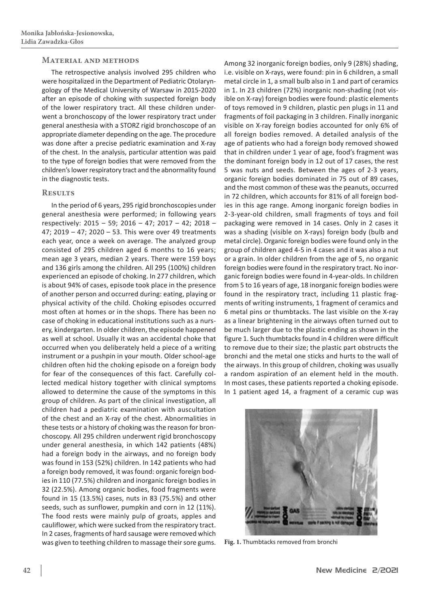#### **Material and methods**

The retrospective analysis involved 295 children who were hospitalized in the Department of Pediatric Otolaryngology of the Medical University of Warsaw in 2015-2020 after an episode of choking with suspected foreign body of the lower respiratory tract. All these children underwent a bronchoscopy of the lower respiratory tract under general anesthesia with a STORZ rigid bronchoscope of an appropriate diameter depending on the age. The procedure was done after a precise pediatric examination and X-ray of the chest. In the analysis, particular attention was paid to the type of foreign bodies that were removed from the children's lower respiratory tract and the abnormality found in the diagnostic tests.

#### **Results**

In the period of 6 years, 295 rigid bronchoscopies under general anesthesia were performed; in following years respectively: 2015 – 59; 2016 – 47; 2017 – 42; 2018 – 47; 2019 – 47; 2020 – 53. This were over 49 treatments each year, once a week on average. The analyzed group consisted of 295 children aged 6 months to 16 years; mean age 3 years, median 2 years. There were 159 boys and 136 girls among the children. All 295 (100%) children experienced an episode of choking. In 277 children, which is about 94% of cases, episode took place in the presence of another person and occurred during: eating, playing or physical activity of the child. Choking episodes occurred most often at homes or in the shops. There has been no case of choking in educational institutions such as a nursery, kindergarten. In older children, the episode happened as well at school. Usually it was an accidental choke that occurred when you deliberately held a piece of a writing instrument or a pushpin in your mouth. Older school-age children often hid the choking episode on a foreign body for fear of the consequences of this fact. Carefully collected medical history together with clinical symptoms allowed to determine the cause of the symptoms in this group of children. As part of the clinical investigation, all children had a pediatric examination with auscultation of the chest and an X-ray of the chest. Abnormalities in these tests or a history of choking was the reason for bronchoscopy. All 295 children underwent rigid bronchoscopy under general anesthesia, in which 142 patients (48%) had a foreign body in the airways, and no foreign body was found in 153 (52%) children. In 142 patients who had a foreign body removed, it was found: organic foreign bodies in 110 (77.5%) children and inorganic foreign bodies in 32 (22.5%). Among organic bodies, food fragments were found in 15 (13.5%) cases, nuts in 83 (75.5%) and other seeds, such as sunflower, pumpkin and corn in 12 (11%). The food rests were mainly pulp of groats, apples and cauliflower, which were sucked from the respiratory tract. In 2 cases, fragments of hard sausage were removed which was given to teething children to massage their sore gums. **Fig. 1.** Thumbtacks removed from bronchi

Among 32 inorganic foreign bodies, only 9 (28%) shading, i.e. visible on X-rays, were found: pin in 6 children, a small metal circle in 1, a small bulb also in 1 and part of ceramics in 1. In 23 children (72%) inorganic non-shading (not visible on X-ray) foreign bodies were found: plastic elements of toys removed in 9 children, plastic pen plugs in 11 and fragments of foil packaging in 3 children. Finally inorganic visible on X-ray foreign bodies accounted for only 6% of all foreign bodies removed. A detailed analysis of the age of patients who had a foreign body removed showed that in children under 1 year of age, food's fragment was the dominant foreign body in 12 out of 17 cases, the rest 5 was nuts and seeds. Between the ages of 2-3 years, organic foreign bodies dominated in 75 out of 89 cases, and the most common of these was the peanuts, occurred in 72 children, which accounts for 81% of all foreign bodies in this age range. Among inorganic foreign bodies in 2-3-year-old children, small fragments of toys and foil packaging were removed in 14 cases. Only in 2 cases it was a shading (visible on X-rays) foreign body (bulb and metal circle). Organic foreign bodies were found only in the group of children aged 4-5 in 4 cases and it was also a nut or a grain. In older children from the age of 5, no organic foreign bodies were found in the respiratory tract. No inorganic foreign bodies were found in 4-year-olds. In children from 5 to 16 years of age, 18 inorganic foreign bodies were found in the respiratory tract, including 11 plastic fragments of writing instruments, 1 fragment of ceramics and 6 metal pins or thumbtacks. The last visible on the X-ray as a linear brightening in the airways often turned out to be much larger due to the plastic ending as shown in the figure 1. Such thumbtacks found in 4 children were difficult to remove due to their size; the plastic part obstructs the bronchi and the metal one sticks and hurts to the wall of the airways. In this group of children, choking was usually a random aspiration of an element held in the mouth. In most cases, these patients reported a choking episode. In 1 patient aged 14, a fragment of a ceramic cup was

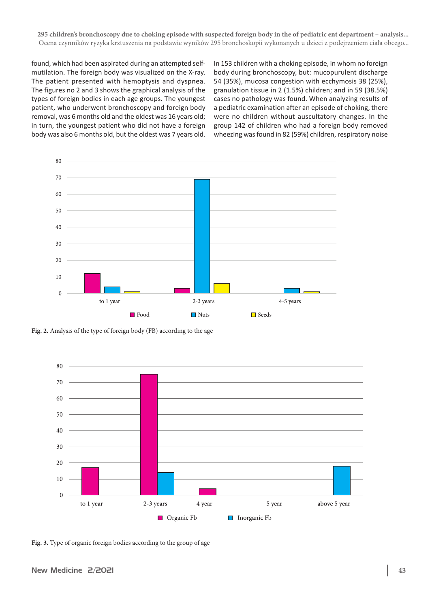found, which had been aspirated during an attempted selfmutilation. The foreign body was visualized on the X-ray. The patient presented with hemoptysis and dyspnea. The figures no 2 and 3 shows the graphical analysis of the types of foreign bodies in each age groups. The youngest patient, who underwent bronchoscopy and foreign body removal, was 6 months old and the oldest was 16 years old; in turn, the youngest patient who did not have a foreign body was also 6 months old, but the oldest was 7 years old.

In 153 children with a choking episode, in whom no foreign body during bronchoscopy, but: mucopurulent discharge 54 (35%), mucosa congestion with ecchymosis 38 (25%), granulation tissue in 2 (1.5%) children; and in 59 (38.5%) cases no pathology was found. When analyzing results of a pediatric examination after an episode of choking, there were no children without auscultatory changes. In the group 142 of children who had a foreign body removed wheezing was found in 82 (59%) children, respiratory noise



**Fig. 2.** Analysis of the type of foreign body (FB) according to the age



**Fig. 3.** Type of organic foreign bodies according to the group of age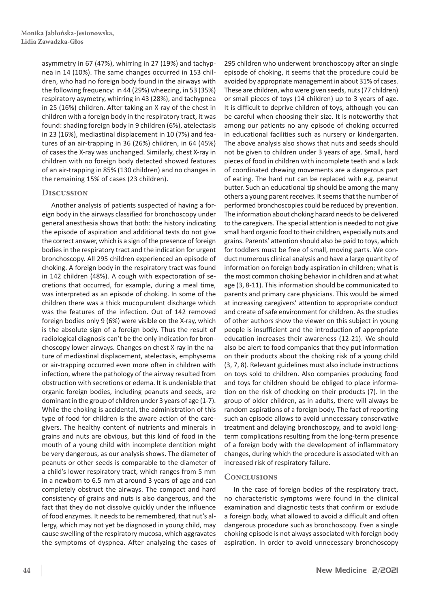asymmetry in 67 (47%), whirring in 27 (19%) and tachypnea in 14 (10%). The same changes occurred in 153 children, who had no foreign body found in the airways with the following frequency: in 44 (29%) wheezing, in 53 (35%) respiratory asymetry, whirring in 43 (28%), and tachypnea in 25 (16%) children. After taking an X-ray of the chest in children with a foreign body in the respiratory tract, it was found: shading foreign body in 9 children (6%), atelectasis in 23 (16%), mediastinal displacement in 10 (7%) and features of an air-trapping in 36 (26%) children, in 64 (45%) of cases the X-ray was unchanged. Similarly, chest X-ray in children with no foreign body detected showed features of an air-trapping in 85% (130 children) and no changes in the remaining 15% of cases (23 children).

# **Discussion**

Another analysis of patients suspected of having a foreign body in the airways classified for bronchoscopy under general anesthesia shows that both: the history indicating the episode of aspiration and additional tests do not give the correct answer, which is a sign of the presence of foreign bodies in the respiratory tract and the indication for urgent bronchoscopy. All 295 children experienced an episode of choking. A foreign body in the respiratory tract was found in 142 children (48%). A cough with expectoration of secretions that occurred, for example, during a meal time, was interpreted as an episode of choking. In some of the children there was a thick mucopurulent discharge which was the features of the infection. Out of 142 removed foreign bodies only 9 (6%) were visible on the X-ray, which is the absolute sign of a foreign body. Thus the result of radiological diagnosis can't be the only indication for bronchoscopy lower airways. Changes on chest X-ray in the nature of mediastinal displacement, atelectasis, emphysema or air-trapping occurred even more often in children with infection, where the pathology of the airway resulted from obstruction with secretions or edema. It is undeniable that organic foreign bodies, including peanuts and seeds, are dominant in the group of children under 3 years of age (1-7). While the choking is accidental, the administration of this type of food for children is the aware action of the caregivers. The healthy content of nutrients and minerals in grains and nuts are obvious, but this kind of food in the mouth of a young child with incomplete dentition might be very dangerous, as our analysis shows. The diameter of peanuts or other seeds is comparable to the diameter of a child's lower respiratory tract, which ranges from 5 mm in a newborn to 6.5 mm at around 3 years of age and can completely obstruct the airways. The compact and hard consistency of grains and nuts is also dangerous, and the fact that they do not dissolve quickly under the influence of food enzymes. It needs to be remembered, that nut's allergy, which may not yet be diagnosed in young child, may cause swelling of the respiratory mucosa, which aggravates the symptoms of dyspnea. After analyzing the cases of

295 children who underwent bronchoscopy after an single episode of choking, it seems that the procedure could be avoided by appropriate management in about 31% of cases. These are children, who were given seeds, nuts (77 children) or small pieces of toys (14 children) up to 3 years of age. It is difficult to deprive children of toys, although you can be careful when choosing their size. It is noteworthy that among our patients no any episode of choking occurred in educational facilities such as nursery or kindergarten. The above analysis also shows that nuts and seeds should not be given to children under 3 years of age. Small, hard pieces of food in children with incomplete teeth and a lack of coordinated chewing movements are a dangerous part of eating. The hard nut can be replaced with e.g. peanut butter. Such an educational tip should be among the many others a young parent receives. It seems that the number of performed bronchoscopies could be reduced by prevention. The information about choking hazard needs to be delivered to the caregivers. The special attention is needed to not give small hard organic food to their children, especially nuts and grains. Parents' attention should also be paid to toys, which for toddlers must be free of small, moving parts. We conduct numerous clinical analysis and have a large quantity of information on foreign body aspiration in children; what is the most common choking behavior in children and at what age (3, 8-11). This information should be communicated to parents and primary care physicians. This would be aimed at increasing caregivers' attention to appropriate conduct and create of safe environment for children. As the studies of other authors show the viewer on this subject in young people is insufficient and the introduction of appropriate education increases their awareness (12-21). We should also be alert to food companies that they put information on their products about the choking risk of a young child (3, 7, 8). Relevant guidelines must also include instructions on toys sold to children. Also companies producing food and toys for children should be obliged to place information on the risk of chocking on their products (7). In the group of older children, as in adults, there will always be random aspirations of a foreign body. The fact of reporting such an episode allows to avoid unnecessary conservative treatment and delaying bronchoscopy, and to avoid longterm complications resulting from the long-term presence of a foreign body with the development of inflammatory changes, during which the procedure is associated with an increased risk of respiratory failure.

# **Conclusions**

In the case of foreign bodies of the respiratory tract, no characteristic symptoms were found in the clinical examination and diagnostic tests that confirm or exclude a foreign body, what allowed to avoid a difficult and often dangerous procedure such as bronchoscopy. Even a single choking episode is not always associated with foreign body aspiration. In order to avoid unnecessary bronchoscopy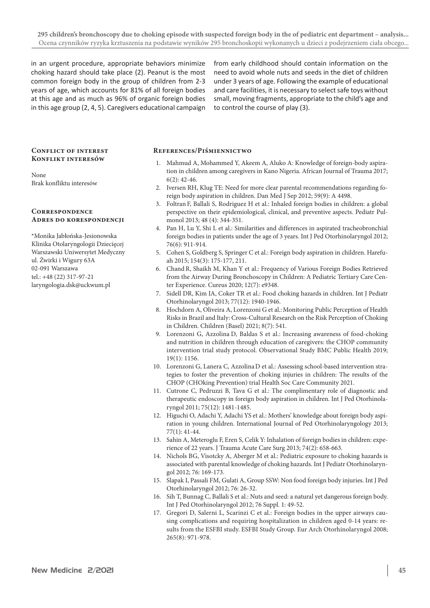in an urgent procedure, appropriate behaviors minimize choking hazard should take place (2). Peanut is the most common foreign body in the group of children from 2-3 years of age, which accounts for 81% of all foreign bodies at this age and as much as 96% of organic foreign bodies in this age group (2, 4, 5). Caregivers educational campaign from early childhood should contain information on the need to avoid whole nuts and seeds in the diet of children under 3 years of age. Following the example of educational and care facilities, it is necessary to select safe toys without small, moving fragments, appropriate to the child's age and to control the course of play (3).

#### **Conflict of interest Konflikt interesów**

#### None Brak konfliktu interesów

#### **Correspondence Adres do korespondencji**

\*Monika Jabłońska-Jesionowska Klinika Otolaryngologii Dziecięcej Warszawski Uniwersytet Medyczny ul. Żwirki i Wigury 63A 02-091 Warszawa tel.: +48 (22) 317-97-21 laryngologia.dsk@uckwum.pl

#### **References/Piśmiennictwo**

- 1. Mahmud A, Mohammed Y, Akeem A, Aluko A: Knowledge of foreign-body aspiration in children among caregivers in Kano Nigeria. African Journal of Trauma 2017; 6(2): 42-46.
- 2. Iversen RH, Klug TE: Need for more clear parental recommendations regarding foreign body aspiration in children. Dan Med J Sep 2012; 59(9): A 4498.
- 3. Foltran F, Ballali S, Rodriguez H et al.: Inhaled foreign bodies in children: a global perspective on their epidemiological, clinical, and preventive aspects. Pediatr Pulmonol 2013; 48 (4): 344-351.
- 4. Pan H, Lu Y, Shi L et al.: Similarities and differences in aspirated tracheobronchial foreign bodies in patients under the age of 3 years. Int J Ped Otorhinolaryngol 2012; 76(6): 911-914.
- 5. Cohen S, Goldberg S, Springer C et al.: Foreign body aspiration in children. Harefuah 2015; 154(3): 175-177, 211.
- 6. Chand R, Shaikh M, Khan Y et al.: Frequency of Various Foreign Bodies Retrieved from the Airway During Bronchoscopy in Children: A Pediatric Tertiary Care Center Experience. Cureus 2020; 12(7): e9348.
- 7. Sidell DR, Kim IA, Coker TR et al.: Food choking hazards in children. Int J Pediatr Otorhinolaryngol 2013; 77(12): 1940-1946.
- 8. Hochdorn A, Oliveira A, Lorenzoni G et al.: Monitoring Public Perception of Health Risks in Brazil and Italy: Cross-Cultural Research on the Risk Perception of Choking in Children. Children (Basel) 2021; 8(7): 541.
- 9. Lorenzoni G, Azzolina D, Baldas S et al.: Increasing awareness of food-choking and nutrition in children through education of caregivers: the CHOP community intervention trial study protocol. Observational Study BMC Public Health 2019; 19(1): 1156.
- 10. Lorenzoni G, Lanera C, AzzolinaD et al.: Assessing school-based intervention strategies to foster the prevention of choking injuries in children: The results of the CHOP (CHOking Prevention) trial Health Soc Care Community 2021.
- 11. Cutrone C, Pedruzzi B, Tava G et al.: The complimentary role of diagnostic and therapeutic endoscopy in foreign body aspiration in children. Int J Ped Otorhinolaryngol 2011; 75(12): 1481-1485.
- 12. Higuchi O, Adachi Y, Adachi YS et al.: Mothers' knowledge about foreign body aspiration in young children. International Journal of Ped Otorhinolaryngology 2013; 77(1): 41-44.
- 13. Sahin A, Meteroglu F, Eren S, Celik Y: Inhalation of foreign bodies in children: experience of 22 years. J Trauma Acute Care Surg 2013; 74(2): 658-663.
- 14. Nichols BG, Visotcky A, Aberger M et al.: Pediatric exposure to choking hazards is associated with parental knowledge of choking hazards. Int J Pediatr Otorhinolaryngol 2012; 76: 169-173.
- 15. Slapak I, Passali FM, Gulati A, Group SSW: Non food foreign body injuries. Int J Ped Otorhinolaryngol 2012; 76: 26-32.
- 16. Sih T, Bunnag C, Ballali S et al.: Nuts and seed: a natural yet dangerous foreign body. Int J Ped Otorhinolaryngol 2012; 76 Suppl. 1: 49-52.
- 17. Gregori D, Salerni L, Scarinzi C et al.: Foreign bodies in the upper airways causing complications and requiring hospitalization in children aged 0-14 years: results from the ESFBI study. ESFBI Study Group. Eur Arch Otorhinolaryngol 2008; 265(8): 971-978.